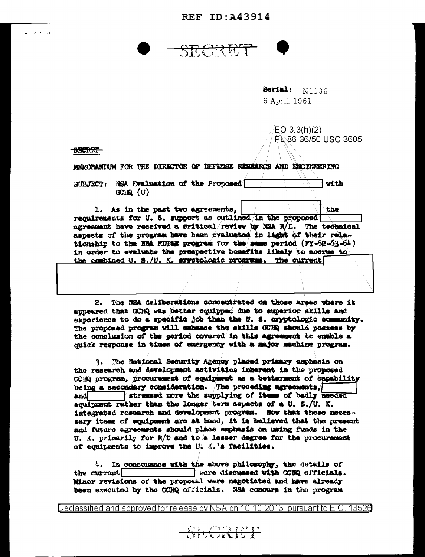REF TD: 343914

<del>SRETENT</del>

Serial: N1136 6 April 1961

EO 3.3(h)(2) PL 86-36/50 USC 3605

SSCRET-

 $\sim$   $\sim$   $\sim$ 

MEMORANIUM FOR THE DIRECTOR OF DEFENSE RESEARCH AND ENGINEERING

SURFECT: NSA Evaluation of the Proposed with  $GCHQ$   $(U)$ 

1. As in the past two agreements, the recuirements for U. S. support as outlined in the proposed agreement have received a critical review by NSA R/D. The technical aspects of the program have been evaluated in light of their relationship to the NSA ROTGE program for the same pariod (FY-62-63-64) in order to evaluate the prospective benefits likely to accrue to the combined U. S./U. K. srystologic programs. The current

2. The NSA deliberations concentrated on those areas where it appeared that OCHQ was better equipped due to superior skills and experience to do a specific job than the U. S. cryptologic community. The proposed program will enhance the skills GCHR should possess by the conclusion of the period covered in this agreement to emable a quick response in times of emergency with a major machine program.

The National Security Agency placed primary emphasis on 3. the research and development activities inherent in the proposed GCHQ program, procurement of equipment as a betternent of capability being a secondary consideration. The preceding agreements, and stressed more the supplying of items of badly needed equipment rather than the longer term aspects of a U. S./U. K. integrated research and development program. Now that these necessary items of equipment are at hand, it is believed that the present and future agreements should place exphasis on using funds in the U. K. primarily for  $R/D$  and to a lesser degree for the procurement of equipments to improve the U. K.'s facilities.

4. In consomance with the above philosophy, the details of the current were discussed with CCRQ officials. Minor revisions of the proposal were negotiated and have already been executed by the CCHQ officials. NSA concurs in the program

Declassified and approved for release by NSA on 10-10-2013 lpursuant to E.O. 13526